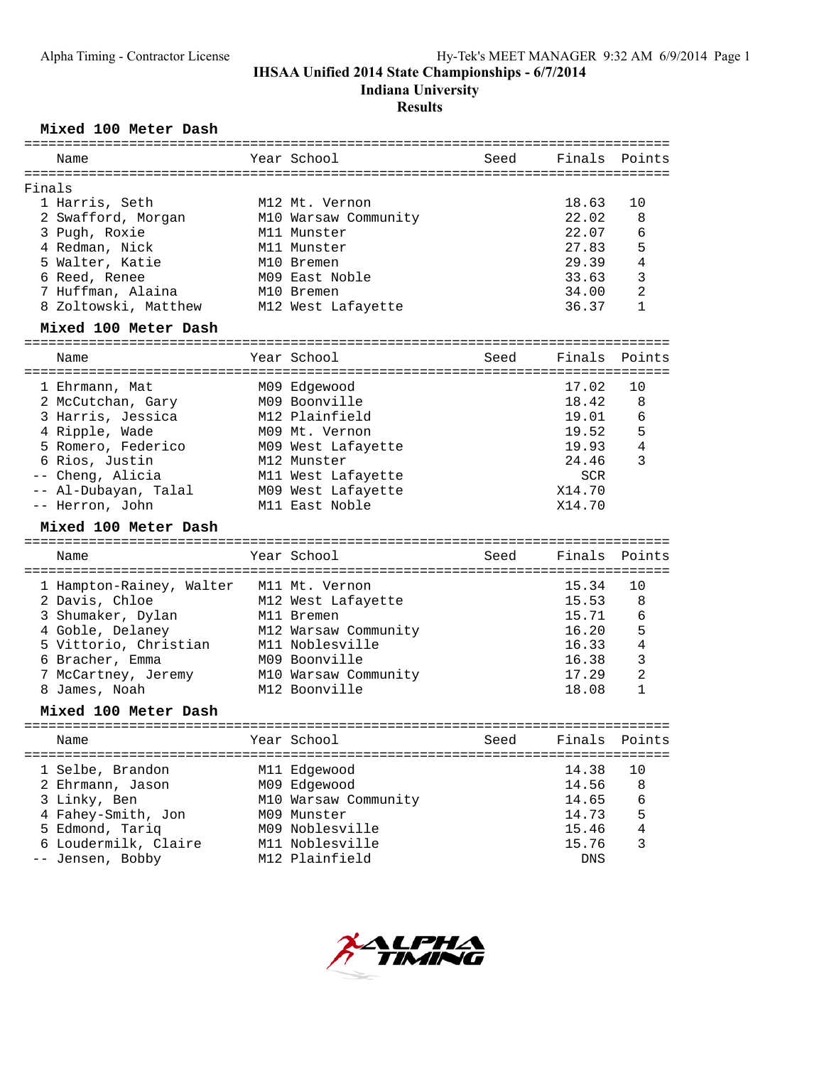**Indiana University**

#### **Results**

### **Mixed 100 Meter Dash**

|        | Name                                    | Year School          | Seed | Finals        | Points         |
|--------|-----------------------------------------|----------------------|------|---------------|----------------|
| Finals |                                         |                      |      |               |                |
|        | 1 Harris, Seth                          | M12 Mt. Vernon       |      | 18.63         | 10             |
|        | 2 Swafford, Morgan                      | M10 Warsaw Community |      | 22.02         | 8              |
|        | 3 Pugh, Roxie                           | M11 Munster          |      | 22.07         | 6              |
|        | 4 Redman, Nick                          | M11 Munster          |      | 27.83         | 5              |
|        | 5 Walter, Katie                         | M10 Bremen           |      | 29.39         | 4              |
|        | 6 Reed, Renee                           | M09 East Noble       |      | 33.63         | 3              |
|        | 7 Huffman, Alaina                       | M10 Bremen           |      | 34.00         | $\overline{2}$ |
|        | 8 Zoltowski, Matthew                    | M12 West Lafayette   |      | 36.37         | $\mathbf{1}$   |
|        | Mixed 100 Meter Dash                    |                      |      |               |                |
|        |                                         |                      |      |               |                |
|        | Name                                    | Year School          | Seed | Finals        | Points         |
|        | 1 Ehrmann, Mat                          | M09 Edgewood         |      | 17.02         | 10             |
|        | 2 McCutchan, Gary                       | M09 Boonville        |      | 18.42         | 8              |
|        | 3 Harris, Jessica                       | M12 Plainfield       |      | 19.01         | 6              |
|        | 4 Ripple, Wade                          | M09 Mt. Vernon       |      | 19.52         | 5              |
|        | 5 Romero, Federico                      | M09 West Lafayette   |      | 19.93         | $\bf 4$        |
|        | 6 Rios, Justin                          | M12 Munster          |      | 24.46         | 3              |
|        | -- Cheng, Alicia                        | M11 West Lafayette   |      | SCR           |                |
|        | -- Al-Dubayan, Talal                    | M09 West Lafayette   |      | X14.70        |                |
|        | -- Herron, John                         | M11 East Noble       |      | X14.70        |                |
|        | Mixed 100 Meter Dash                    |                      |      |               |                |
|        | Name                                    | Year School          | Seed | Finals        | Points         |
|        |                                         |                      |      |               |                |
|        | 1 Hampton-Rainey, Walter M11 Mt. Vernon |                      |      | 15.34         | 10             |
|        | 2 Davis, Chloe                          | M12 West Lafayette   |      | 15.53         | 8              |
|        | 3 Shumaker, Dylan                       | M11 Bremen           |      | 15.71         | 6              |
|        | 4 Goble, Delaney                        | M12 Warsaw Community |      | 16.20         | 5              |
|        | 5 Vittorio, Christian                   | M11 Noblesville      |      | 16.33         | 4              |
|        | 6 Bracher, Emma                         | M09 Boonville        |      | 16.38         | $\mathsf 3$    |
|        | 7 McCartney, Jeremy                     | M10 Warsaw Community |      | 17.29         | 2              |
|        | 8 James, Noah                           | M12 Boonville        |      | 18.08         | $\mathbf{1}$   |
|        | Mixed 100 Meter Dash                    |                      |      |               |                |
|        | Name                                    | Year School          | Seed | Finals Points |                |
|        |                                         |                      |      |               |                |
|        | 1 Selbe, Brandon                        | M11 Edgewood         |      | 14.38         | 10             |
|        | 2 Ehrmann, Jason                        | M09 Edgewood         |      | 14.56         | 8              |
|        | 3 Linky, Ben                            | M10 Warsaw Community |      | 14.65         | 6              |
|        | 4 Fahey-Smith, Jon                      | M09 Munster          |      | 14.73         | 5              |
|        | 5 Edmond, Tariq                         | M09 Noblesville      |      | 15.46         | 4              |
|        | 6 Loudermilk, Claire                    | M11 Noblesville      |      | 15.76         | 3              |
|        | -- Jensen, Bobby                        | M12 Plainfield       |      | DNS           |                |
|        |                                         |                      |      |               |                |

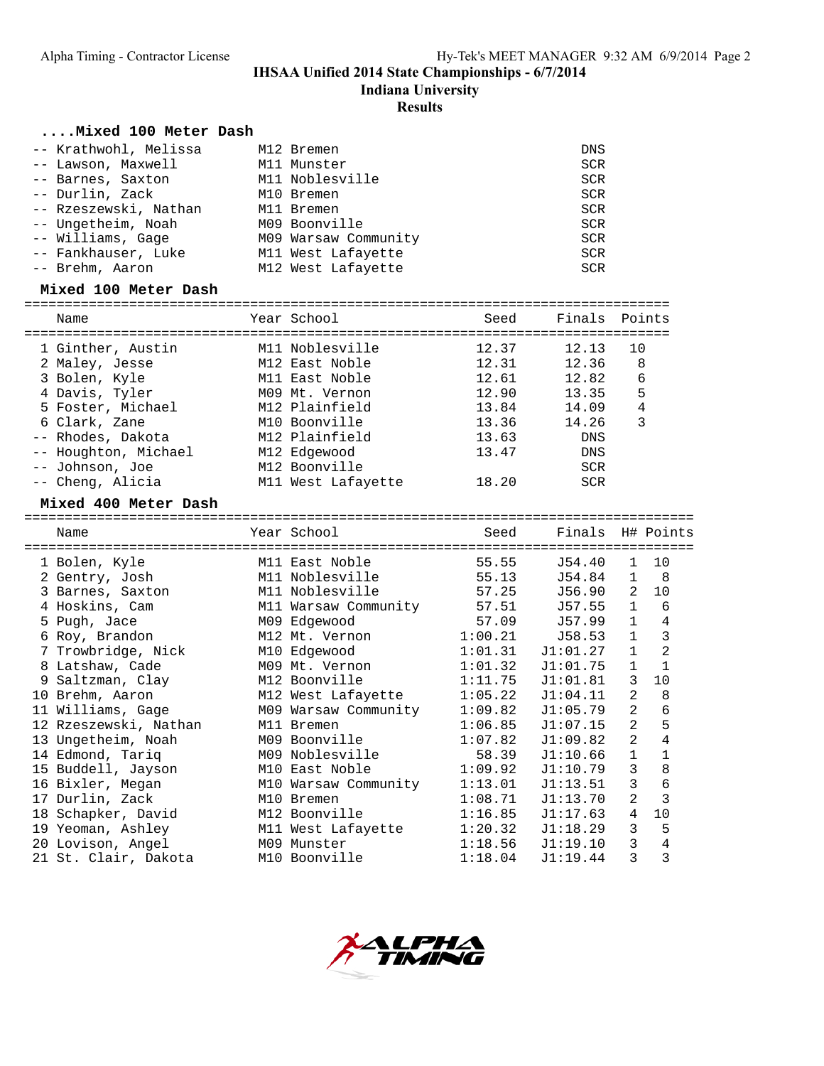**Indiana University**

**Results**

#### **....Mixed 100 Meter Dash**

| -- Krathwohl, Melissa | M12 Bremen           | DNS        |
|-----------------------|----------------------|------------|
| -- Lawson, Maxwell    | M11 Munster          | <b>SCR</b> |
| -- Barnes, Saxton     | M11 Noblesville      | <b>SCR</b> |
| -- Durlin, Zack       | M10 Bremen           | <b>SCR</b> |
| -- Rzeszewski, Nathan | M11 Bremen           | <b>SCR</b> |
| -- Ungetheim, Noah    | M09 Boonville        | <b>SCR</b> |
| -- Williams, Gage     | M09 Warsaw Community | <b>SCR</b> |
| -- Fankhauser, Luke   | M11 West Lafayette   | <b>SCR</b> |
| -- Brehm, Aaron       | M12 West Lafayette   | <b>SCR</b> |

#### **Mixed 100 Meter Dash**

| Name                 | Year School        | Seed  | Finals Points |    |
|----------------------|--------------------|-------|---------------|----|
| 1 Ginther, Austin    | M11 Noblesville    | 12.37 | 12.13         | 10 |
| 2 Maley, Jesse       | M12 East Noble     | 12.31 | 12.36         | 8  |
| 3 Bolen, Kyle        | M11 East Noble     | 12.61 | 12.82         | 6  |
| 4 Davis, Tyler       | M09 Mt. Vernon     | 12.90 | 13.35         | 5  |
| 5 Foster, Michael    | M12 Plainfield     | 13.84 | 14.09         | 4  |
| 6 Clark, Zane        | M10 Boonville      | 13.36 | 14.26         | 3  |
| -- Rhodes, Dakota    | M12 Plainfield     | 13.63 | DNS           |    |
| -- Houghton, Michael | M12 Edgewood       | 13.47 | DNS           |    |
| -- Johnson, Joe      | M12 Boonville      |       | <b>SCR</b>    |    |
| -- Cheng, Alicia     | M11 West Lafayette | 18.20 | <b>SCR</b>    |    |

#### **Mixed 400 Meter Dash**

=================================================================================== Name The Year School Seed Finals H# Points =================================================================================== 1 Bolen, Kyle M11 East Noble 55.55 J54.40 1 10 2 Gentry, Josh M11 Noblesville 55.13 J54.84 1 8 3 Barnes, Saxton M11 Noblesville 57.25 J56.90 2 10 4 Hoskins, Cam M11 Warsaw Community 57.51 J57.55 1 6 5 Pugh, Jace M09 Edgewood 57.09 J57.99 1 4 6 Roy, Brandon M12 Mt. Vernon 1:00.21 J58.53 1 3 7 Trowbridge, Nick M10 Edgewood 1:01.31 J1:01.27 1 2 8 Latshaw, Cade M09 Mt. Vernon 1:01.32 J1:01.75 1 1 9 Saltzman, Clay M12 Boonville 1:11.75 J1:01.81 3 10 10 Brehm, Aaron M12 West Lafayette 1:05.22 J1:04.11 2 8 11 Williams, Gage M09 Warsaw Community 1:09.82 J1:05.79 2 6 12 Rzeszewski, Nathan M11 Bremen 1:06.85 J1:07.15 2 5 13 Ungetheim, Noah M09 Boonville 1:07.82 J1:09.82 2 4 14 Edmond, Tariq M09 Noblesville 58.39 J1:10.66 1 1 15 Buddell, Jayson M10 East Noble 1:09.92 J1:10.79 3 8 16 Bixler, Megan M10 Warsaw Community 1:13.01 J1:13.51 3 6 17 Durlin, Zack M10 Bremen 1:08.71 J1:13.70 2 3 18 Schapker, David M12 Boonville 1:16.85 J1:17.63 4 10 19 Yeoman, Ashley M11 West Lafayette 1:20.32 J1:18.29 3 5 20 Lovison, Angel M09 Munster 1:18.56 J1:19.10 3 4 21 St. Clair, Dakota M10 Boonville 1:18.04 J1:19.44 3 3

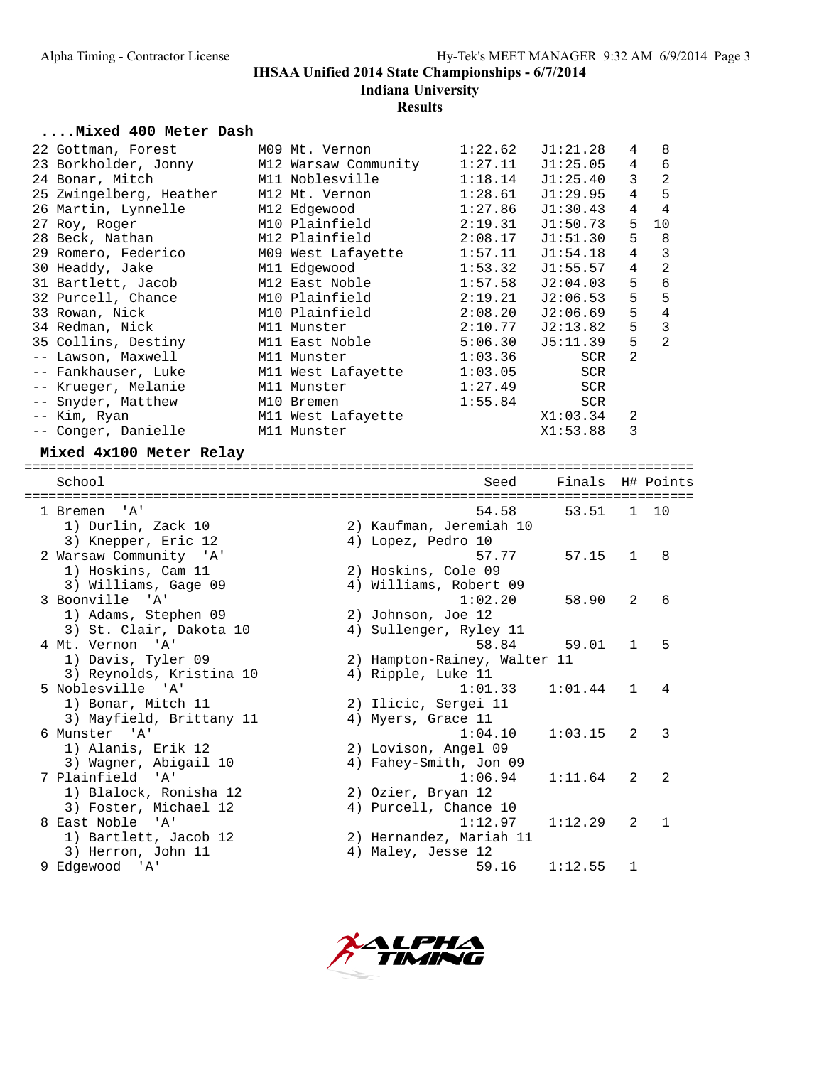**Indiana University**

## **Results**

#### **....Mixed 400 Meter Dash**

| 22 Gottman, Forest                        | M09 Mt. Vernon     | 1:22.62 | J1:21.28   | 4              | 8                       |
|-------------------------------------------|--------------------|---------|------------|----------------|-------------------------|
| 23 Borkholder, Jonny M12 Warsaw Community |                    | 1:27.11 | J1:25.05   | $\overline{4}$ | 6                       |
| 24 Bonar, Mitch                           | M11 Noblesville    | 1:18.14 | J1:25.40   | 3              | $\overline{2}$          |
| 25 Zwingelberg, Heather                   | M12 Mt. Vernon     | 1:28.61 | J1:29.95   | 4              | 5                       |
| 26 Martin, Lynnelle                       | M12 Edgewood       | 1:27.86 | J1:30.43   | 4              | $\overline{4}$          |
| 27 Roy, Roger                             | M10 Plainfield     | 2:19.31 | J1:50.73   | 5              | 10                      |
| 28 Beck, Nathan                           | M12 Plainfield     | 2:08.17 | J1:51.30   | 5              | - 8                     |
| 29 Romero, Federico                       | M09 West Lafayette | 1:57.11 | J1:54.18   | 4              | $\overline{\mathbf{3}}$ |
| 30 Headdy, Jake                           | M11 Edgewood       | 1:53.32 | J1:55.57   | $\overline{4}$ | $\overline{c}$          |
| 31 Bartlett, Jacob                        | M12 East Noble     | 1:57.58 | J2:04.03   | 5              | 6                       |
| 32 Purcell, Chance                        | M10 Plainfield     | 2:19.21 | J2:06.53   | 5              | 5                       |
| 33 Rowan, Nick                            | M10 Plainfield     | 2:08.20 | J2:06.69   | 5              | $\overline{4}$          |
| 34 Redman, Nick                           | M11 Munster        | 2:10.77 | J2:13.82   | 5              | 3                       |
| 35 Collins, Destiny                       | M11 East Noble     | 5:06.30 | J5:11.39   | 5              | 2                       |
| -- Lawson, Maxwell                        | M11 Munster        | 1:03.36 | SCR        | $\mathfrak{D}$ |                         |
| -- Fankhauser, Luke                       | M11 West Lafayette | 1:03.05 | <b>SCR</b> |                |                         |
| -- Krueger, Melanie                       | M11 Munster        | 1:27.49 | SCR        |                |                         |
| -- Snyder, Matthew                        | M10 Bremen         | 1:55.84 | SCR        |                |                         |
| -- Kim, Ryan                              | M11 West Lafayette |         | X1:03.34   | 2              |                         |
| -- Conger, Danielle                       | M11 Munster        |         | X1:53.88   | 3              |                         |
|                                           |                    |         |            |                |                         |

# **Mixed 4x100 Meter Relay**

| School                                    | Seed                         | Finals H# Points |                |                |
|-------------------------------------------|------------------------------|------------------|----------------|----------------|
| $^{\prime}$ A $^{\prime}$<br>1 Bremen     | 54.58                        | 53.51            |                | 1 10           |
| 1) Durlin, Zack 10                        | 2) Kaufman, Jeremiah 10      |                  |                |                |
| 3) Knepper, Eric 12                       | 4) Lopez, Pedro 10           |                  |                |                |
| 2 Warsaw Community 'A'                    | 57.77                        | 57.15            | $\mathbf{1}$   | $\mathsf{R}$   |
| 1) Hoskins, Cam 11                        | 2) Hoskins, Cole 09          |                  |                |                |
| 3) Williams, Gage 09                      | 4) Williams, Robert 09       |                  |                |                |
| 3 Boonville 'A'                           | 1:02.20                      | 58.90            | $\mathcal{L}$  | 6              |
| 1) Adams, Stephen 09                      | 2) Johnson, Joe 12           |                  |                |                |
| 3) St. Clair, Dakota 10                   | 4) Sullenger, Ryley 11       |                  |                |                |
| 4 Mt. Vernon<br>' A '                     | 58.84                        | 59.01            | $\mathbf{1}$   | 5              |
| 1) Davis, Tyler 09                        | 2) Hampton-Rainey, Walter 11 |                  |                |                |
| 3) Reynolds, Kristina 10                  | 4) Ripple, Luke 11           |                  |                |                |
| 5 Noblesville 'A'                         | 1:01.33                      | 1:01.44          | $\mathbf{1}$   | 4              |
| 1) Bonar, Mitch 11                        | 2) Ilicic, Sergei 11         |                  |                |                |
| 3) Mayfield, Brittany 11                  | 4) Myers, Grace 11           |                  |                |                |
| 6 Munster 'A'                             | 1:04.10                      | 1:03.15          | $\mathfrak{D}$ | 3              |
| 1) Alanis, Erik 12                        | 2) Lovison, Angel 09         |                  |                |                |
| 3) Wagner, Abigail 10                     | 4) Fahey-Smith, Jon 09       |                  |                |                |
| 7 Plainfield<br>$^{\prime}$ A $^{\prime}$ | 1:06.94                      | 1:11.64          | $\mathfrak{D}$ | $\mathfrak{D}$ |
| 1) Blalock, Ronisha 12                    | 2) Ozier, Bryan 12           |                  |                |                |
| 3) Foster, Michael 12                     | 4) Purcell, Chance 10        |                  |                |                |
| 8 East Noble<br>$^{\prime}$ A $^{\prime}$ | 1:12.97                      | 1:12.29          | $\mathfrak{D}$ | $\mathbf{1}$   |
| 1) Bartlett, Jacob 12                     | 2) Hernandez, Mariah 11      |                  |                |                |
| 3) Herron, John 11                        | 4) Maley, Jesse 12           |                  |                |                |
| 9 Edgewood 'A'                            | 59.16                        | 1:12.55          | 1              |                |

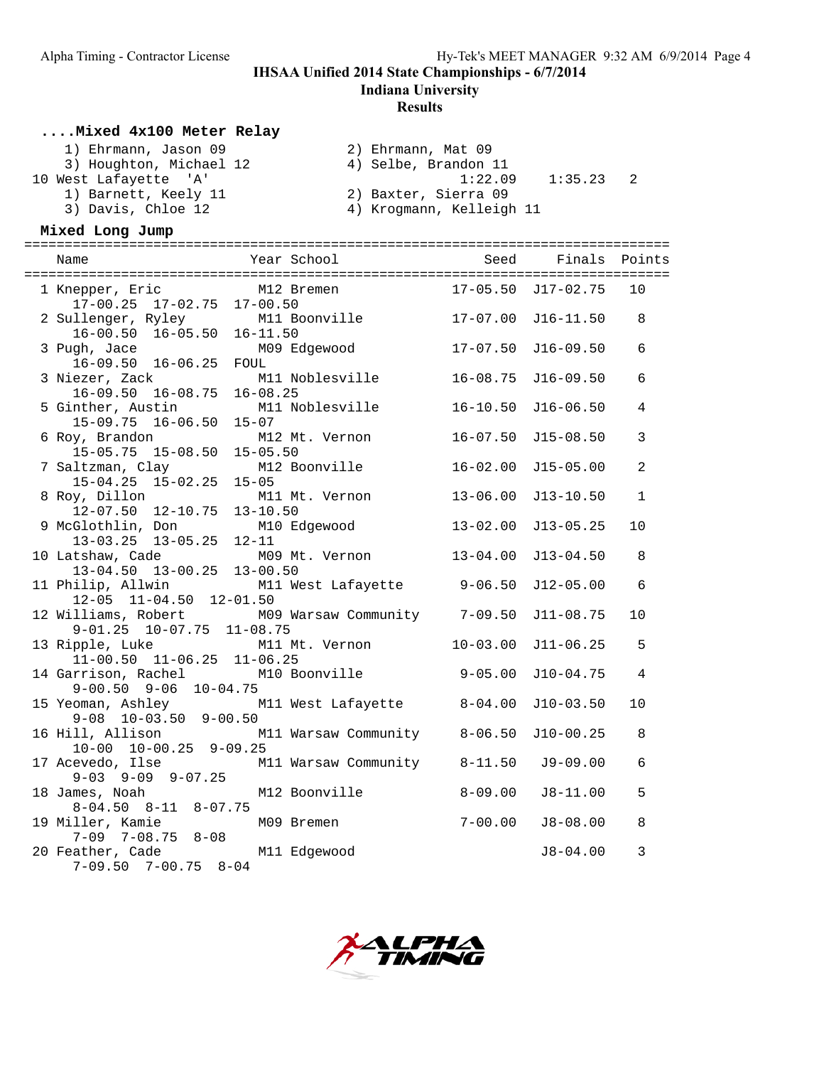**Indiana University**

#### **Results**

#### **....Mixed 4x100 Meter Relay**

| 1) Ehrmann, Jason 09    | 2) Ehrmann, Mat 09       |
|-------------------------|--------------------------|
| 3) Houghton, Michael 12 | 4) Selbe, Brandon 11     |
| 10 West Lafayette 'A'   | 1:22.09<br>1:35.23       |
| 1) Barnett, Keely 11    | 2) Baxter, Sierra 09     |
| 3) Davis, Chloe 12      | 4) Krogmann, Kelleigh 11 |

#### **Mixed Long Jump**

| Name                                                                                    | Year School                                                                                  | Seed         | Finals             | Points         |
|-----------------------------------------------------------------------------------------|----------------------------------------------------------------------------------------------|--------------|--------------------|----------------|
| $17-00.25$ 17-02.75 17-00.50                                                            | 1 Knepper, Eric $M12$ Bremen<br>$17-00$ $25$ $17-02$ $75$ $17-00$ $50$                       |              | 17-05.50 J17-02.75 | 10             |
| 2 Sullenger, Ryley<br>$16-00.50$ $16-05.50$ $16-11.50$                                  | M11 Boonville 17-07.00                                                                       |              | $J16 - 11.50$      | 8              |
| 3 Pugh, Jace<br>$16-09.50$ $16-06.25$                                                   | M09 Edgewood<br>FOUL                                                                         | $17 - 07.50$ | $J16-09.50$        | 6              |
| 3 Niezer, Zack                                                                          | M11 Noblesville                                                                              | $16 - 08.75$ | $J16-09.50$        | 6              |
| 5 Ginther, Austin                                                                       | 16-09.50 16-08.75 16-08.25<br>nther, Austin M11 Noblesville<br>15-09.75 16-06.50 15-07       | $16 - 10.50$ | $J16-06.50$        | 4              |
| 6 Roy, Brandon<br>15-05.75 15-08.50 15-05.50                                            | M12 Mt. Vernon                                                                               | $16 - 07.50$ | $J15 - 08.50$      | 3              |
| 7 Saltzman, Clay M1<br>15-04.25 15-02.25 15-05                                          | M12 Boonville                                                                                | $16 - 02.00$ | $J15 - 05.00$      | $\overline{a}$ |
| 8 Roy, Dillon                                                                           | M11 Mt. Vernon                                                                               | $13 - 06.00$ | $J13 - 10.50$      | $\mathbf{1}$   |
| 12-07.50 12-10.75 13-10.50<br>9 McGlothlin, Don M10 Edgewood<br>13-03.25 13-05.25 12-11 |                                                                                              | $13 - 02.00$ | $J13 - 05.25$      | 10             |
| 10 Latshaw, Cade                                                                        | M09 Mt. Vernon<br>13-04.50 13-00.25 13-00.50<br>11 Philip, Allwin M11 West Lafayette 9-06.50 | $13 - 04.00$ | $J13 - 04.50$      | 8              |
| 12-05 11-04.50 12-01.50                                                                 |                                                                                              |              | $J12-05.00$        | 6              |
| $9-01.25$ $10-07.75$ $11-08.75$                                                         | 12 Williams, Robert M09 Warsaw Community 7-09.50                                             |              | $J11-08.75$        | 10             |
| $11-00.50$ $11-06.25$ $11-06.25$                                                        | 13 Ripple, Luke M11 Mt. Vernon                                                               | $10 - 03.00$ | $J11-06.25$        | 5              |
| 14 Garrison, Rachel<br>$9-00.50$ $9-06$ $10-04.75$                                      | M10 Boonville 9-05.00                                                                        |              | $J10-04.75$        | 4              |
| $9-08$ $10-03.50$ $9-00.50$                                                             | 15 Yeoman, Ashley M11 West Lafayette 8-04.00                                                 |              | $J10-03.50$        | 10             |
| $10-00$ $10-00.25$ $9-09.25$                                                            | 16 Hill, Allison M11 Warsaw Community 8-06.50                                                |              | $J10-00.25$        | 8              |
|                                                                                         | 17 Acevedo, Ilse M11 Warsaw Community 8-11.50<br>9-03 9-09 9-07.25                           |              | $J9-09.00$         | 6              |
| 18 James, Noah<br>$8-04.50$ $8-11$ $8-07.75$                                            | M12 Boonville                                                                                | $8 - 09.00$  | $J8-11.00$         | 5              |
| 19 Miller, Kamie<br>$7-09$ $7-08.75$ $8-08$                                             | M09 Bremen                                                                                   | $7 - 00.00$  | $J8 - 08.00$       | 8              |
| 20 Feather, Cade M11 Edgewood<br>$7-09.50$ $7-00.75$ $8-04$                             |                                                                                              |              | $J8 - 04.00$       | 3              |

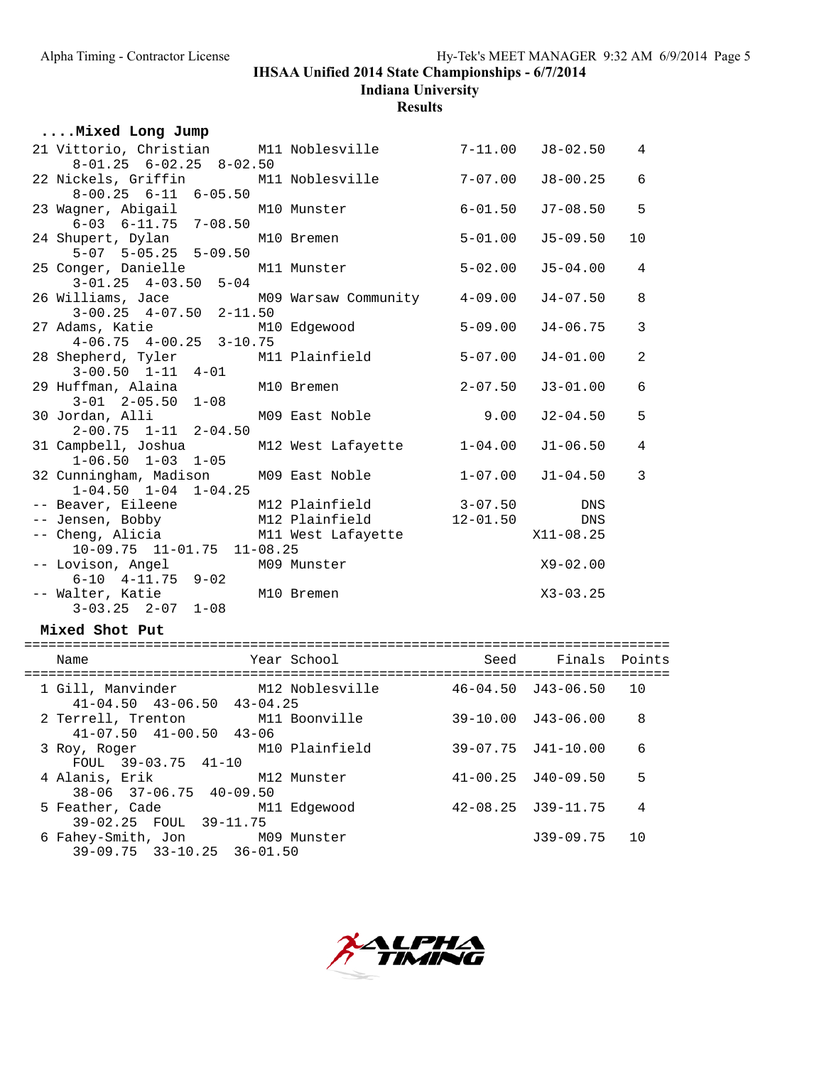**Indiana University**

**Results**

| Mixed Long Jump                                                           |                            |             |              |                |
|---------------------------------------------------------------------------|----------------------------|-------------|--------------|----------------|
| 21 Vittorio, Christian M11 Noblesville 7-11.00                            |                            |             | J8-02.50     | $\overline{4}$ |
| $8-01.25$ $6-02.25$ $8-02.50$                                             |                            |             |              |                |
| 22 Nickels, Griffin M11 Noblesville 7-07.00                               |                            |             | J8-00.25     | $\overline{6}$ |
| $8-00.25$ $6-11$ $6-05.50$                                                |                            |             |              |                |
| 23 Wagner, Abigail M10 Munster                                            |                            | $6 - 01.50$ | $J7-08.50$   | 5              |
| $6-03$ $6-11.75$ $7-08.50$                                                |                            |             | $J5-09.50$   | 10             |
| 24 Shupert, Dylan<br>5-07 5-05.25 5-09.50                                 | M10 Bremen                 | $5 - 01.00$ |              |                |
| 25 Conger, Danielle M11 Munster                                           |                            | $5 - 02.00$ | $J5 - 04.00$ | $\overline{4}$ |
| $3-01.25$ $4-03.50$ $5-04$                                                |                            |             |              |                |
|                                                                           |                            |             | J4-07.50     | 8              |
| 26 Williams, Jace M09 Warsaw Community 4-09.00<br>3-00.25 4-07.50 2-11.50 |                            |             |              |                |
| 27 Adams, Katie                                                           | M10 Edgewood               | $5 - 09.00$ | J4-06.75     | $\overline{3}$ |
| $4-06.75$ $4-00.25$ $3-10.75$                                             |                            |             |              |                |
| 28 Shepherd, Tyler M11 Plainfield                                         |                            | $5 - 07.00$ | $J4 - 01.00$ | $\overline{a}$ |
| $3-00.50$ $1-11$ $4-01$                                                   |                            |             |              |                |
| 29 Huffman, Alaina M10 Bremen                                             |                            | $2 - 07.50$ | $J3 - 01.00$ | $\overline{6}$ |
| $3-01$ $2-05.50$ $1-08$<br>30 Jordan, Alli                                | M09 East Noble 9.00        |             | $J2 - 04.50$ | 5              |
| $2-00.75$ $1-11$ $2-04.50$                                                |                            |             |              |                |
| 31 Campbell, Joshua                                                       | M12 West Lafayette 1-04.00 |             | $J1-06.50$   | $\overline{4}$ |
| $1-06.50$ $1-03$ $1-05$                                                   |                            |             |              |                |
| 32 Cunningham, Madison                                                    | M09 East Noble             | $1 - 07.00$ | J1-04.50     | $\overline{3}$ |
| $1-04.50$ $1-04$ $1-04.25$                                                |                            |             |              |                |
| -- Beaver, Eileene M12 Plainfield 3-07.50 DNS                             |                            |             |              |                |
| -- Jensen, Bobby M12 Plainfield 12-01.50                                  |                            |             | DNS          |                |
| -- Cheng, Alicia and M11 West Lafayette                                   |                            |             | X11-08.25    |                |
| $10-09.75$ $11-01.75$ $11-08.25$                                          |                            |             | $X9 - 02.00$ |                |
| -- Lovison, Angel                                                         | M09 Munster                |             |              |                |
| $6-10$ $4-11.75$ $9-02$                                                   | M10 Bremen                 |             | $X3 - 03.25$ |                |
| -- Walter, Katie<br>$3-03.25$ $2-07$ $1-08$                               |                            |             |              |                |
|                                                                           |                            |             |              |                |

#### **Mixed Shot Put**

| Name                                                                        | Year School    | Seed | Finals Points              |    |
|-----------------------------------------------------------------------------|----------------|------|----------------------------|----|
| 1 Gill, Manvinder M12 Noblesville<br>$41 - 04.50$ $43 - 06.50$ $43 - 04.25$ |                |      | $46 - 04.50$ $J43 - 06.50$ | 10 |
| 2 Terrell, Trenton M11 Boonville<br>$41 - 07.50$ $41 - 00.50$ $43 - 06$     |                |      | $39-10.00$ $J43-06.00$     | 8  |
| 3 Roy, Roger<br>FOUL $39-03.75$ $41-10$                                     | M10 Plainfield |      | 39-07.75 J41-10.00         | 6  |
| 4 Alanis, Erik<br>$38 - 06$ $37 - 06$ , $75$ $40 - 09$ , 50                 | M12 Munster    |      | $41 - 00.25$ $J40 - 09.50$ | 5  |
| 5 Feather, Cade M11 Edgewood<br>39-02.25 FOUL 39-11.75                      |                |      | $42 - 08.25$ $J39 - 11.75$ | 4  |
| 6 Fahey-Smith, Jon M09 Munster<br>$39-09.75$ $33-10.25$ $36-01.50$          |                |      | $J39-09.75$                | 10 |
|                                                                             |                |      |                            |    |

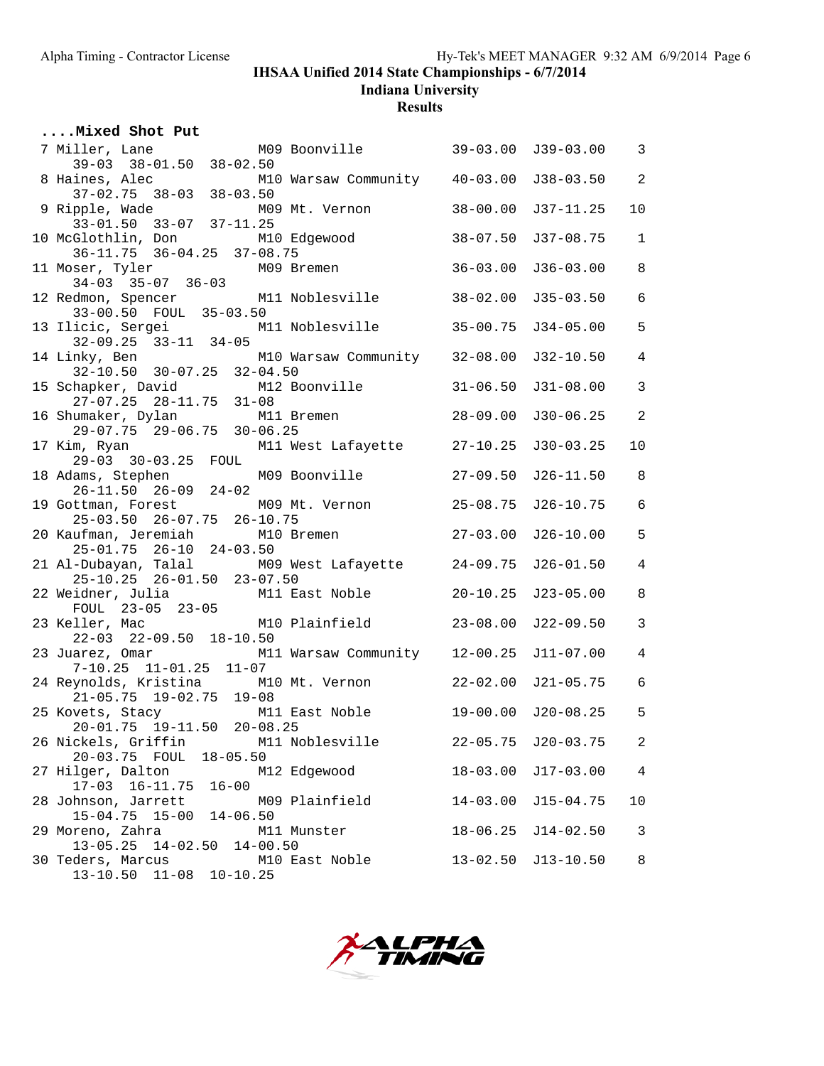**Indiana University**

**Results**

| Mixed Shot Put                                                                                        |              |                    |                 |
|-------------------------------------------------------------------------------------------------------|--------------|--------------------|-----------------|
| M09 Boonville 39-03.00 J39-03.00 3<br>7 Miller, Lane<br>$39-03$ $38-01.50$ $38-02.50$                 |              |                    |                 |
| M10 Warsaw Community 40-03.00 J38-03.50                                                               |              |                    | $\overline{2}$  |
| 8 Haines, Alec<br>37-02.75 38-03 38-03.50<br>9 Ripple, Wade M09 Mt. Vernon<br>33-01.50 33-07 37-11.25 | $38 - 00.00$ | $J37-11.25$        | 10              |
| 10 McGlothlin, Don M10 Edgewood                                                                       | $38 - 07.50$ | $J37-08.75$        | $\mathbf{1}$    |
| 36-11.75 36-04.25 37-08.75<br>11 Moser, Tyler M09 Bremen<br>34-03 35-07 36-03                         | $36 - 03.00$ | $J36-03.00$        | 8               |
| 12 Redmon, Spencer M11 Noblesville                                                                    | $38 - 02.00$ | $J35-03.50$        | $6\overline{6}$ |
| $33-00.50$ FOUL $35-03.50$<br>13 Ilicic, Sergei               M11 Noblesville                         | 35-00.75     | $J34-05.00$        | 5               |
| $32-09.25$ $33-11$ $34-05$<br>14 Linky, Ben<br>M10 Warsaw Community 32-08.00                          |              | J32-10.50          | $\overline{4}$  |
| 32-10.50 30-07.25 32-04.50<br>15 Schapker, David M12 Boonville                                        | $31 - 06.50$ | $J31-08.00$        | $\mathbf{3}$    |
| $27-07.25$ $28-11.75$ $31-08$<br>16 Shumaker, Dylan M11 Bremen                                        | $28 - 09.00$ | $J30-06.25$        | 2               |
| 29-07.75 29-06.75 30-06.25                                                                            |              | $J30-03.25$        | 10              |
| 17 Kim, Ryan M11 West Lafayette 27-10.25<br>29-03 30-03.25 FOUL                                       | $27 - 09.50$ | $J26 - 11.50$      | 8               |
| 18 Adams, Stephen M09 Boonville<br>26-11.50 26-09 24-02<br>19 Gottman, Forest M09 Mt. Vernon          | $25 - 08.75$ | $J26 - 10.75$      | $6\overline{6}$ |
| 25-03.50 26-07.75 26-10.75<br>M10 Bremen 27-03.00<br>20 Kaufman, Jeremiah                             |              | $J26-10.00$        | 5               |
| 25-01.75 26-10 24-03.50<br>21 Al-Dubayan, Talal M09 West Lafayette 24-09.75                           |              | $J26 - 01.50$      | $\overline{4}$  |
| 25-10.25 26-01.50 23-07.50<br>22 Weidner, Julia M11 East Noble                                        | $20 - 10.25$ | $J23 - 05.00$      | 8               |
|                                                                                                       |              |                    |                 |
| FOUL 23-05 23-05<br>23 Keller, Mac M10 Plainfield<br>22-03 22-09.50 18-10.50                          | $23 - 08.00$ | $J22-09.50$        | $\mathbf{3}$    |
| 23 Juarez, Omar M11 Warsaw Community 12-00.25<br>7-10.25 11-01.25 11-07                               |              | $J11-07.00$        | $\overline{4}$  |
| 24 Reynolds, Kristina M10 Mt. Vernon<br>21-05.75 19-02.75 19-08                                       | $22 - 02.00$ | J21-05.75          | $6\overline{6}$ |
| 25 Kovets, Stacy M11 East Noble<br>20-01.75 19-11.50 20-08.25                                         |              | 19-00.00 J20-08.25 | 5               |
| 26 Nickels, Griffin<br>M11 Noblesville<br>20-03.75 FOUL 18-05.50                                      |              | 22-05.75 J20-03.75 | 2               |
| 27 Hilger, Dalton<br>M12 Edgewood<br>$17-03$ $16-11.75$<br>$16 - 00$                                  | $18 - 03.00$ | $J17-03.00$        | $\overline{4}$  |
| 28 Johnson, Jarrett<br>M09 Plainfield<br>15-04.75 15-00 14-06.50                                      | $14 - 03.00$ | $J15 - 04.75$      | 10              |
| 29 Moreno, Zahra<br>M11 Munster<br>14-02.50 14-00.50<br>$13 - 05.25$                                  | $18 - 06.25$ | $J14 - 02.50$      | 3               |
| 30 Teders, Marcus<br>M10 East Noble<br>$11 - 08$<br>$10 - 10.25$<br>$13 - 10.50$                      | $13 - 02.50$ | $J13-10.50$        | 8               |